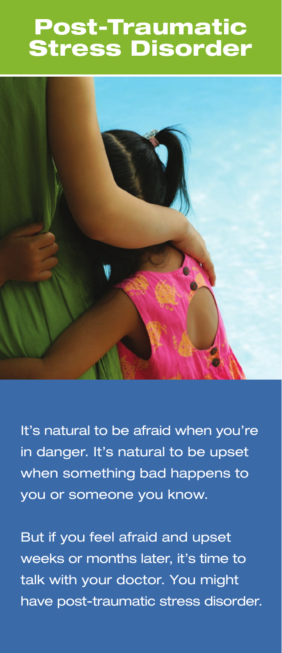# Post-Traumatic Stress Disorder



 It's natural to be afraid when you're in danger. It's natural to be upset when something bad happens to you or someone you know.

weeks or months later, it's time to have post-traumatic stress disorder. But if you feel afraid and upset talk with your doctor. You might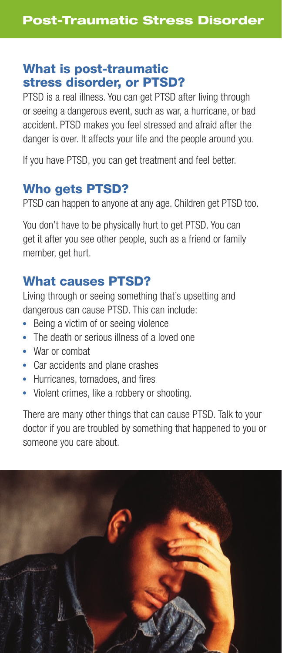#### What is post-traumatic stress disorder, or PTSD?

PTSD is a real illness. You can get PTSD after living through or seeing a dangerous event, such as war, a hurricane, or bad accident. PTSD makes you feel stressed and afraid after the danger is over. It affects your life and the people around you.

If you have PTSD, you can get treatment and feel better.

#### Who gets PTSD?

PTSD can happen to anyone at any age. Children get PTSD too.

You don't have to be physically hurt to get PTSD. You can get it after you see other people, such as a friend or family member, get hurt.

#### What causes PTSD?

Living through or seeing something that's upsetting and dangerous can cause PTSD. This can include:

- Being a victim of or seeing violence
- The death or serious illness of a loved one
- War or combat
- Car accidents and plane crashes
- Hurricanes, tornadoes, and fires
- Violent crimes, like a robbery or shooting.

There are many other things that can cause PTSD. Talk to your doctor if you are troubled by something that happened to you or someone you care about.

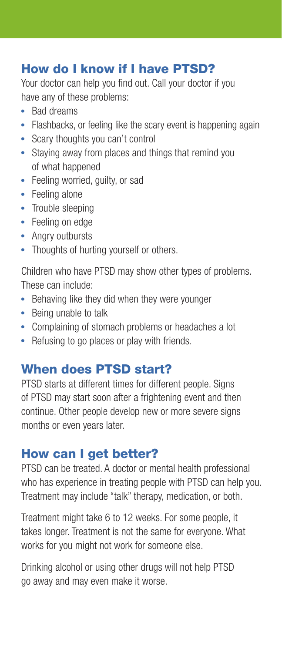#### How do I know if I have PTSD?

Your doctor can help you find out. Call your doctor if you have any of these problems:

- Rad dreams
- Flashbacks, or feeling like the scary event is happening again
- Scary thoughts you can't control
- Staying away from places and things that remind you of what happened
- Feeling worried, guilty, or sad
- Feeling alone
- Trouble sleeping
- Feeling on edge
- Angry outbursts
- Thoughts of hurting yourself or others.

Children who have PTSD may show other types of problems. These can include:

- Behaving like they did when they were younger
- Being unable to talk
- Complaining of stomach problems or headaches a lot
- Refusing to go places or play with friends.

#### When does PTSD start?

PTSD starts at different times for different people. Signs of PTSD may start soon after a frightening event and then continue. Other people develop new or more severe signs months or even years later.

#### How can I get better?

PTSD can be treated. A doctor or mental health professional who has experience in treating people with PTSD can help you. Treatment may include "talk" therapy, medication, or both.

Treatment might take 6 to 12 weeks. For some people, it takes longer. Treatment is not the same for everyone. What works for you might not work for someone else.

Drinking alcohol or using other drugs will not help PTSD go away and may even make it worse.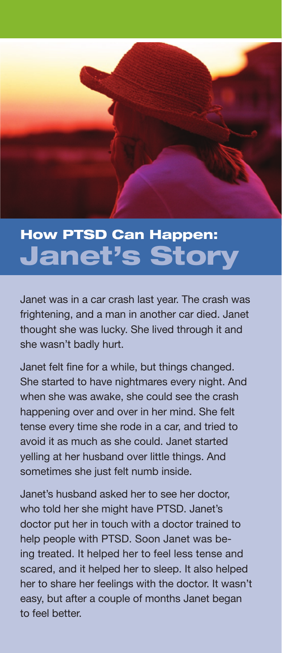# How PTSD Can Happen: Janet's Story

Janet was in a car crash last year. The crash was frightening, and a man in another car died. Janet thought she was lucky. She lived through it and she wasn't badly hurt.

Janet felt fine for a while, but things changed. She started to have nightmares every night. And when she was awake, she could see the crash happening over and over in her mind. She felt tense every time she rode in a car, and tried to avoid it as much as she could. Janet started yelling at her husband over little things. And sometimes she just felt numb inside.

Janet's husband asked her to see her doctor. who told her she might have PTSD. Janet's doctor put her in touch with a doctor trained to help people with PTSD. Soon Janet was being treated. It helped her to feel less tense and scared, and it helped her to sleep. It also helped her to share her feelings with the doctor. It wasn't easy, but after a couple of months Janet began to feel better.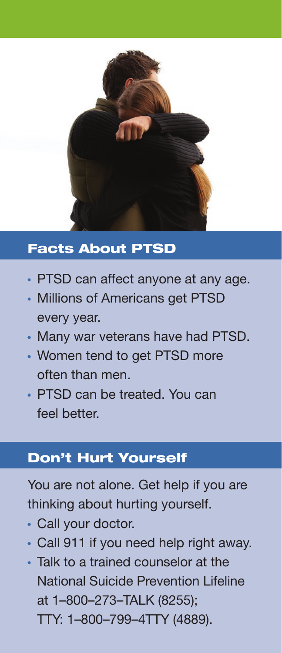

### Facts About PTSD

- PTSD can affect anyone at any age.
- Millions of Americans get PTSD every year.
- Many war veterans have had PTSD.
- Women tend to get PTSD more often than men
- PTSD can be treated. You can feel hetter.

### Don't Hurt Yourself

You are not alone. Get help if you are thinking about hurting yourself.

- Call your doctor.
- Call 911 if you need help right away.
- Talk to a trained counselor at the **National Suicide Prevention Lifeline** at 1-800-273-TALK (8255); TTY: 1-800-799-4TTY (4889).